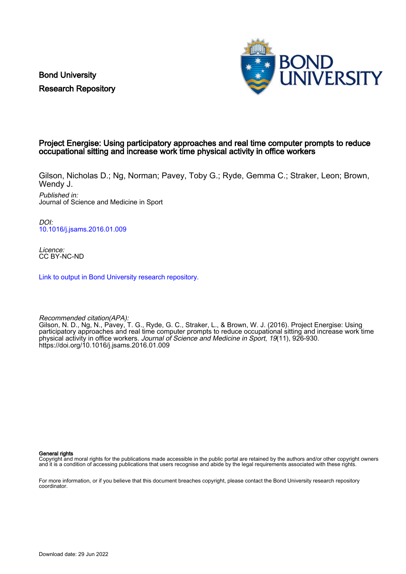Bond University Research Repository



### Project Energise: Using participatory approaches and real time computer prompts to reduce occupational sitting and increase work time physical activity in office workers

Gilson, Nicholas D.; Ng, Norman; Pavey, Toby G.; Ryde, Gemma C.; Straker, Leon; Brown, Wendy J.

Published in: Journal of Science and Medicine in Sport

DOI: [10.1016/j.jsams.2016.01.009](https://doi.org/10.1016/j.jsams.2016.01.009)

Licence: CC BY-NC-ND

[Link to output in Bond University research repository.](https://research.bond.edu.au/en/publications/336a584e-18be-4c56-942b-a991a7437f99)

Recommended citation(APA): Gilson, N. D., Ng, N., Pavey, T. G., Ryde, G. C., Straker, L., & Brown, W. J. (2016). Project Energise: Using participatory approaches and real time computer prompts to reduce occupational sitting and increase work time physical activity in office workers. Journal of Science and Medicine in Sport, 19(11), 926-930. <https://doi.org/10.1016/j.jsams.2016.01.009>

General rights

Copyright and moral rights for the publications made accessible in the public portal are retained by the authors and/or other copyright owners and it is a condition of accessing publications that users recognise and abide by the legal requirements associated with these rights.

For more information, or if you believe that this document breaches copyright, please contact the Bond University research repository coordinator.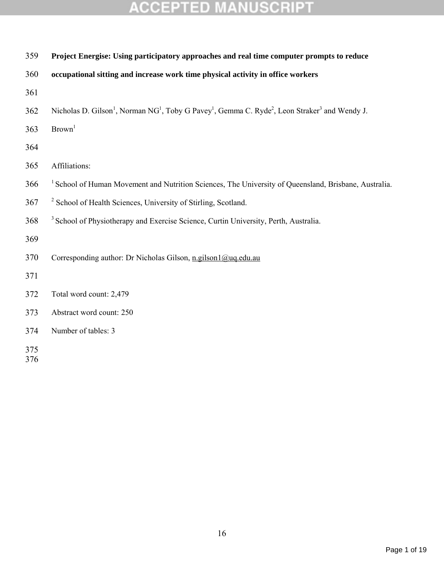| 359        | Project Energise: Using participatory approaches and real time computer prompts to reduce                                                                  |
|------------|------------------------------------------------------------------------------------------------------------------------------------------------------------|
| 360        | occupational sitting and increase work time physical activity in office workers                                                                            |
| 361        |                                                                                                                                                            |
| 362        | Nicholas D. Gilson <sup>1</sup> , Norman NG <sup>1</sup> , Toby G Pavey <sup>1</sup> , Gemma C. Ryde <sup>2</sup> , Leon Straker <sup>3</sup> and Wendy J. |
| 363        | Brown <sup>1</sup>                                                                                                                                         |
| 364        |                                                                                                                                                            |
| 365        | Affiliations:                                                                                                                                              |
| 366        | <sup>1</sup> School of Human Movement and Nutrition Sciences, The University of Queensland, Brisbane, Australia.                                           |
| 367        | <sup>2</sup> School of Health Sciences, University of Stirling, Scotland.                                                                                  |
| 368        | <sup>3</sup> School of Physiotherapy and Exercise Science, Curtin University, Perth, Australia.                                                            |
| 369        |                                                                                                                                                            |
| 370        | Corresponding author: Dr Nicholas Gilson, n.gilson $1$ @uq.edu.au                                                                                          |
| 371        |                                                                                                                                                            |
| 372        | Total word count: 2,479                                                                                                                                    |
| 373        | Abstract word count: 250                                                                                                                                   |
| 374        | Number of tables: 3                                                                                                                                        |
| 375<br>376 |                                                                                                                                                            |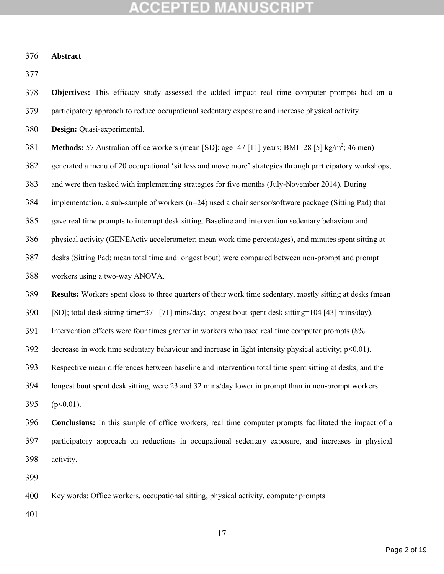#### **Abstract**

**Objectives:** This efficacy study assessed the added impact real time computer prompts had on a

participatory approach to reduce occupational sedentary exposure and increase physical activity.

**Design:** Quasi-experimental.

**Methods:** 57 Australian office workers (mean [SD]; age=47 [11] years; BMI=28 [5] kg/m<sup>2</sup>; 46 men)

generated a menu of 20 occupational 'sit less and move more' strategies through participatory workshops,

and were then tasked with implementing strategies for five months (July-November 2014). During

implementation, a sub-sample of workers (n=24) used a chair sensor/software package (Sitting Pad) that

gave real time prompts to interrupt desk sitting. Baseline and intervention sedentary behaviour and

physical activity (GENEActiv accelerometer; mean work time percentages), and minutes spent sitting at

desks (Sitting Pad; mean total time and longest bout) were compared between non-prompt and prompt

workers using a two-way ANOVA.

**Results:** Workers spent close to three quarters of their work time sedentary, mostly sitting at desks (mean

[SD]; total desk sitting time=371 [71] mins/day; longest bout spent desk sitting=104 [43] mins/day).

Intervention effects were four times greater in workers who used real time computer prompts (8%

392 decrease in work time sedentary behaviour and increase in light intensity physical activity;  $p \le 0.01$ ).

Respective mean differences between baseline and intervention total time spent sitting at desks, and the

longest bout spent desk sitting, were 23 and 32 mins/day lower in prompt than in non-prompt workers

395 ( $p<0.01$ ).

 **Conclusions:** In this sample of office workers, real time computer prompts facilitated the impact of a participatory approach on reductions in occupational sedentary exposure, and increases in physical activity.

Key words: Office workers, occupational sitting, physical activity, computer prompts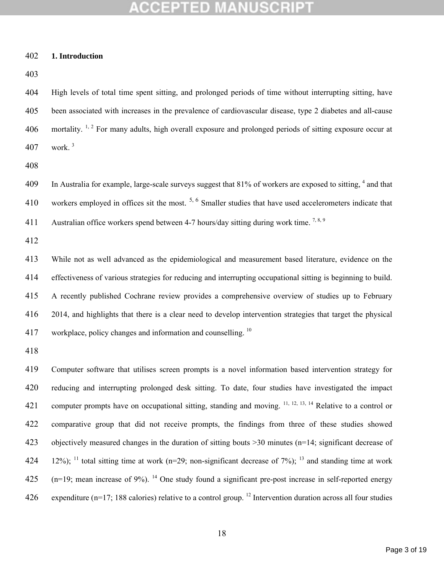#### **1. Introduction**

 High levels of total time spent sitting, and prolonged periods of time without interrupting sitting, have been associated with increases in the prevalence of cardiovascular disease, type 2 diabetes and all-cause  $\pm$  mortality. <sup>1, 2</sup> For many adults, high overall exposure and prolonged periods of sitting exposure occur at work.<sup>3</sup>

 In Australia for example, large-scale surveys suggest that 81% of workers are exposed to sitting,  $4$  and that 410 workers employed in offices sit the most.  $5, 6$  Smaller studies that have used accelerometers indicate that 411 Australian office workers spend between 4-7 hours/day sitting during work time.<sup>7,8,9</sup>

 While not as well advanced as the epidemiological and measurement based literature, evidence on the effectiveness of various strategies for reducing and interrupting occupational sitting is beginning to build. A recently published Cochrane review provides a comprehensive overview of studies up to February 2014, and highlights that there is a clear need to develop intervention strategies that target the physical 417 workplace, policy changes and information and counselling.

 Computer software that utilises screen prompts is a novel information based intervention strategy for reducing and interrupting prolonged desk sitting. To date, four studies have investigated the impact 421 computer prompts have on occupational sitting, standing and moving.  $^{11, 12, 13, 14}$  Relative to a control or comparative group that did not receive prompts, the findings from three of these studies showed objectively measured changes in the duration of sitting bouts >30 minutes (n=14; significant decrease of 424 12%); <sup>11</sup> total sitting time at work (n=29; non-significant decrease of 7%); <sup>13</sup> and standing time at work  $(125 \text{ m} = 19)$ ; mean increase of 9%). <sup>14</sup> One study found a significant pre-post increase in self-reported energy 426 expenditure (n=17; 188 calories) relative to a control group. <sup>12</sup> Intervention duration across all four studies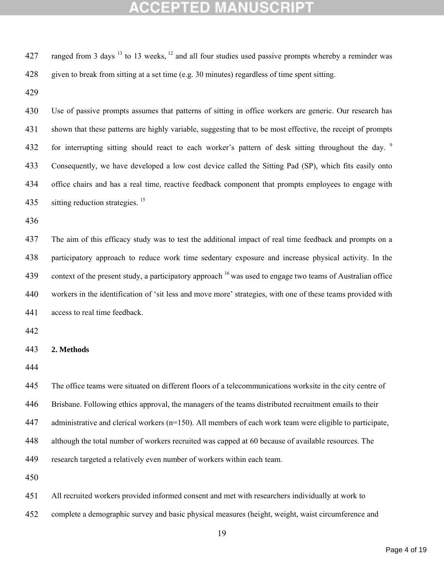| 427 | ranged from 3 days $^{13}$ to 13 weeks, $^{12}$ and all four studies used passive prompts whereby a reminder was       |
|-----|------------------------------------------------------------------------------------------------------------------------|
| 428 | given to break from sitting at a set time (e.g. 30 minutes) regardless of time spent sitting.                          |
| 429 |                                                                                                                        |
| 430 | Use of passive prompts assumes that patterns of sitting in office workers are generic. Our research has                |
| 431 | shown that these patterns are highly variable, suggesting that to be most effective, the receipt of prompts            |
| 432 | for interrupting sitting should react to each worker's pattern of desk sitting throughout the day. <sup>9</sup>        |
| 433 | Consequently, we have developed a low cost device called the Sitting Pad (SP), which fits easily onto                  |
| 434 | office chairs and has a real time, reactive feedback component that prompts employees to engage with                   |
| 435 | sitting reduction strategies. <sup>15</sup>                                                                            |
| 436 |                                                                                                                        |
| 437 | The aim of this efficacy study was to test the additional impact of real time feedback and prompts on a                |
| 438 | participatory approach to reduce work time sedentary exposure and increase physical activity. In the                   |
| 439 | context of the present study, a participatory approach <sup>16</sup> was used to engage two teams of Australian office |
| 440 | workers in the identification of 'sit less and move more' strategies, with one of these teams provided with            |
| 441 | access to real time feedback.                                                                                          |
| 442 |                                                                                                                        |
| 443 | 2. Methods                                                                                                             |
| 444 |                                                                                                                        |
| 445 | The office teams were situated on different floors of a telecommunications worksite in the city centre of              |
| 446 | Brisbane. Following ethics approval, the managers of the teams distributed recruitment emails to their                 |
| 447 | administrative and clerical workers (n=150). All members of each work team were eligible to participate,               |
| 448 | although the total number of workers recruited was capped at 60 because of available resources. The                    |
| 449 | research targeted a relatively even number of workers within each team.                                                |
| 450 |                                                                                                                        |
| 451 | All recruited workers provided informed consent and met with researchers individually at work to                       |
| 452 | complete a demographic survey and basic physical measures (height, weight, waist circumference and                     |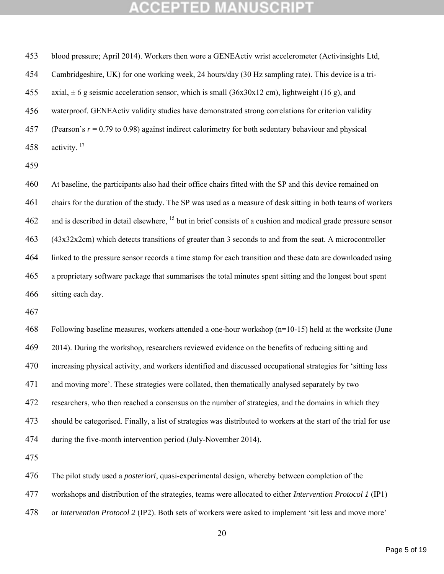blood pressure; April 2014). Workers then wore a GENEActiv wrist accelerometer (Activinsights Ltd, Cambridgeshire, UK) for one working week, 24 hours/day (30 Hz sampling rate). This device is a tri-455 axial,  $\pm 6$  g seismic acceleration sensor, which is small (36x30x12 cm), lightweight (16 g), and waterproof. GENEActiv validity studies have demonstrated strong correlations for criterion validity (Pearson's *r* = 0.79 to 0.98) against indirect calorimetry for both sedentary behaviour and physical 458 activity.

 At baseline, the participants also had their office chairs fitted with the SP and this device remained on chairs for the duration of the study. The SP was used as a measure of desk sitting in both teams of workers 462 and is described in detail elsewhere, <sup>15</sup> but in brief consists of a cushion and medical grade pressure sensor (43x32x2cm) which detects transitions of greater than 3 seconds to and from the seat. A microcontroller linked to the pressure sensor records a time stamp for each transition and these data are downloaded using a proprietary software package that summarises the total minutes spent sitting and the longest bout spent sitting each day.

 Following baseline measures, workers attended a one-hour workshop (n=10-15) held at the worksite (June 2014). During the workshop, researchers reviewed evidence on the benefits of reducing sitting and increasing physical activity, and workers identified and discussed occupational strategies for 'sitting less and moving more'. These strategies were collated, then thematically analysed separately by two researchers, who then reached a consensus on the number of strategies, and the domains in which they should be categorised. Finally, a list of strategies was distributed to workers at the start of the trial for use during the five-month intervention period (July-November 2014).

The pilot study used a *posteriori*, quasi-experimental design, whereby between completion of the

workshops and distribution of the strategies, teams were allocated to either *Intervention Protocol 1* (IP1)

or *Intervention Protocol 2* (IP2). Both sets of workers were asked to implement 'sit less and move more'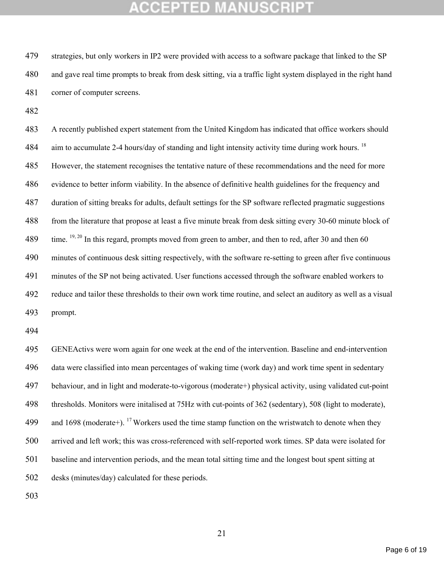strategies, but only workers in IP2 were provided with access to a software package that linked to the SP and gave real time prompts to break from desk sitting, via a traffic light system displayed in the right hand corner of computer screens.

 A recently published expert statement from the United Kingdom has indicated that office workers should 484 aim to accumulate 2-4 hours/day of standing and light intensity activity time during work hours. <sup>18</sup> However, the statement recognises the tentative nature of these recommendations and the need for more evidence to better inform viability. In the absence of definitive health guidelines for the frequency and duration of sitting breaks for adults, default settings for the SP software reflected pragmatic suggestions from the literature that propose at least a five minute break from desk sitting every 30-60 minute block of 489 time.  $19, 20$  In this regard, prompts moved from green to amber, and then to red, after 30 and then 60 minutes of continuous desk sitting respectively, with the software re-setting to green after five continuous minutes of the SP not being activated. User functions accessed through the software enabled workers to reduce and tailor these thresholds to their own work time routine, and select an auditory as well as a visual prompt.

 GENEActivs were worn again for one week at the end of the intervention. Baseline and end-intervention data were classified into mean percentages of waking time (work day) and work time spent in sedentary behaviour, and in light and moderate-to-vigorous (moderate+) physical activity, using validated cut-point thresholds. Monitors were initalised at 75Hz with cut-points of 362 (sedentary), 508 (light to moderate), 499 and 1698 (moderate+). <sup>17</sup> Workers used the time stamp function on the wristwatch to denote when they arrived and left work; this was cross-referenced with self-reported work times. SP data were isolated for baseline and intervention periods, and the mean total sitting time and the longest bout spent sitting at desks (minutes/day) calculated for these periods.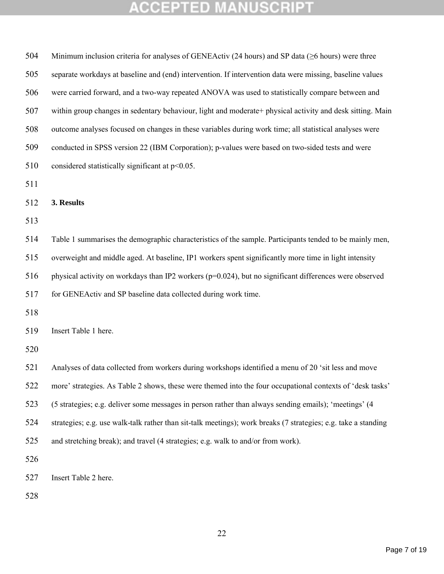| 504 | Minimum inclusion criteria for analyses of GENEActiv (24 hours) and SP data ( $\geq 6$ hours) were three       |
|-----|----------------------------------------------------------------------------------------------------------------|
| 505 | separate workdays at baseline and (end) intervention. If intervention data were missing, baseline values       |
| 506 | were carried forward, and a two-way repeated ANOVA was used to statistically compare between and               |
| 507 | within group changes in sedentary behaviour, light and moderate+ physical activity and desk sitting. Main      |
| 508 | outcome analyses focused on changes in these variables during work time; all statistical analyses were         |
| 509 | conducted in SPSS version 22 (IBM Corporation); p-values were based on two-sided tests and were                |
| 510 | considered statistically significant at $p<0.05$ .                                                             |
| 511 |                                                                                                                |
| 512 | 3. Results                                                                                                     |
| 513 |                                                                                                                |
| 514 | Table 1 summarises the demographic characteristics of the sample. Participants tended to be mainly men,        |
| 515 | overweight and middle aged. At baseline, IP1 workers spent significantly more time in light intensity          |
| 516 | physical activity on workdays than IP2 workers (p=0.024), but no significant differences were observed         |
| 517 | for GENEActiv and SP baseline data collected during work time.                                                 |
| 518 |                                                                                                                |
| 519 | Insert Table 1 here.                                                                                           |
| 520 |                                                                                                                |
| 521 | Analyses of data collected from workers during workshops identified a menu of 20 'sit less and move            |
| 522 | more' strategies. As Table 2 shows, these were themed into the four occupational contexts of 'desk tasks'      |
| 523 | (5 strategies; e.g. deliver some messages in person rather than always sending emails); 'meetings' (4          |
| 524 | strategies; e.g. use walk-talk rather than sit-talk meetings); work breaks (7 strategies; e.g. take a standing |
| 525 | and stretching break); and travel (4 strategies; e.g. walk to and/or from work).                               |
| 526 |                                                                                                                |
| 527 | Insert Table 2 here.                                                                                           |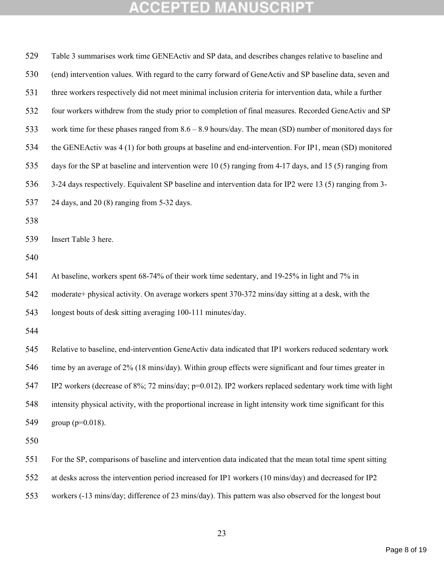| 529 | Table 3 summarises work time GENEActiv and SP data, and describes changes relative to baseline and             |
|-----|----------------------------------------------------------------------------------------------------------------|
| 530 | (end) intervention values. With regard to the carry forward of GeneActiv and SP baseline data, seven and       |
| 531 | three workers respectively did not meet minimal inclusion criteria for intervention data, while a further      |
| 532 | four workers withdrew from the study prior to completion of final measures. Recorded GeneActiv and SP          |
| 533 | work time for these phases ranged from $8.6 - 8.9$ hours/day. The mean (SD) number of monitored days for       |
| 534 | the GENEActiv was 4 (1) for both groups at baseline and end-intervention. For IP1, mean (SD) monitored         |
| 535 | days for the SP at baseline and intervention were 10 (5) ranging from 4-17 days, and 15 (5) ranging from       |
| 536 | 3-24 days respectively. Equivalent SP baseline and intervention data for IP2 were 13 (5) ranging from 3-       |
| 537 | 24 days, and 20 (8) ranging from 5-32 days.                                                                    |
| 538 |                                                                                                                |
| 539 | Insert Table 3 here.                                                                                           |
| 540 |                                                                                                                |
| 541 | At baseline, workers spent 68-74% of their work time sedentary, and 19-25% in light and 7% in                  |
| 542 | moderate+ physical activity. On average workers spent 370-372 mins/day sitting at a desk, with the             |
| 543 | longest bouts of desk sitting averaging 100-111 minutes/day.                                                   |
| 544 |                                                                                                                |
| 545 | Relative to baseline, end-intervention GeneActiv data indicated that IP1 workers reduced sedentary work        |
| 546 | time by an average of 2% (18 mins/day). Within group effects were significant and four times greater in        |
| 547 | IP2 workers (decrease of $8\%$ ; 72 mins/day; $p=0.012$ ). IP2 workers replaced sedentary work time with light |
| 548 | intensity physical activity, with the proportional increase in light intensity work time significant for this  |
| 549 | group ( $p=0.018$ ).                                                                                           |
| 550 |                                                                                                                |
| 551 | For the SP, comparisons of baseline and intervention data indicated that the mean total time spent sitting     |
| 552 | at desks across the intervention period increased for IP1 workers (10 mins/day) and decreased for IP2          |
| 553 | workers (-13 mins/day; difference of 23 mins/day). This pattern was also observed for the longest bout         |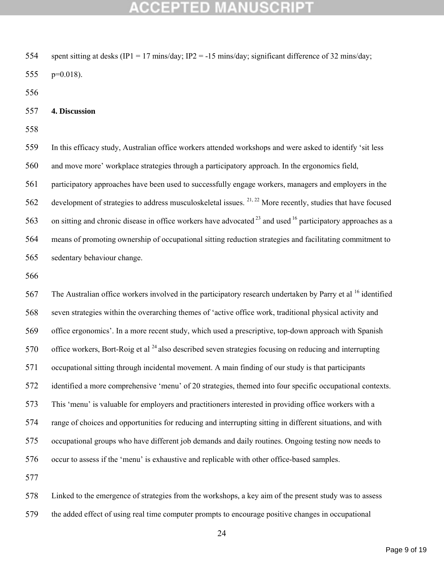## GEPTED

 spent sitting at desks (IP1 = 17 mins/day; IP2 = -15 mins/day; significant difference of 32 mins/day; p=0.018).

#### **4. Discussion**

 In this efficacy study, Australian office workers attended workshops and were asked to identify 'sit less and move more' workplace strategies through a participatory approach. In the ergonomics field,

 participatory approaches have been used to successfully engage workers, managers and employers in the development of strategies to address musculoskeletal issues. <sup>21, 22</sup> More recently, studies that have focused 563 on sitting and chronic disease in office workers have advocated  $^{23}$  and used  $^{16}$  participatory approaches as a means of promoting ownership of occupational sitting reduction strategies and facilitating commitment to sedentary behaviour change.

 The Australian office workers involved in the participatory research undertaken by Parry et al <sup>16</sup> identified seven strategies within the overarching themes of 'active office work, traditional physical activity and office ergonomics'. In a more recent study, which used a prescriptive, top-down approach with Spanish 570 office workers, Bort-Roig et al  $^{24}$  also described seven strategies focusing on reducing and interrupting occupational sitting through incidental movement. A main finding of our study is that participants identified a more comprehensive 'menu' of 20 strategies, themed into four specific occupational contexts. This 'menu' is valuable for employers and practitioners interested in providing office workers with a range of choices and opportunities for reducing and interrupting sitting in different situations, and with occupational groups who have different job demands and daily routines. Ongoing testing now needs to occur to assess if the 'menu' is exhaustive and replicable with other office-based samples.

 Linked to the emergence of strategies from the workshops, a key aim of the present study was to assess the added effect of using real time computer prompts to encourage positive changes in occupational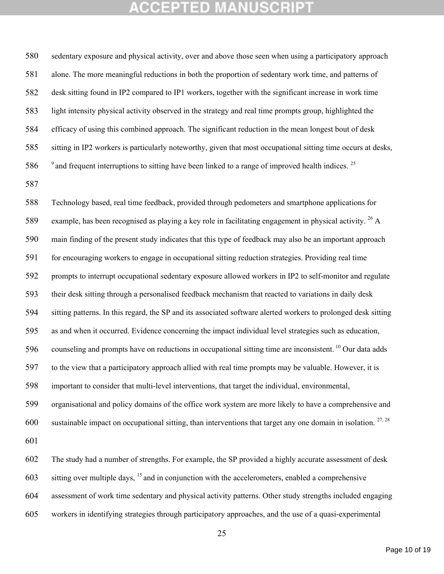sedentary exposure and physical activity, over and above those seen when using a participatory approach alone. The more meaningful reductions in both the proportion of sedentary work time, and patterns of desk sitting found in IP2 compared to IP1 workers, together with the significant increase in work time light intensity physical activity observed in the strategy and real time prompts group, highlighted the efficacy of using this combined approach. The significant reduction in the mean longest bout of desk sitting in IP2 workers is particularly noteworthy, given that most occupational sitting time occurs at desks,  $\degree$  and frequent interruptions to sitting have been linked to a range of improved health indices. <sup>25</sup>

 Technology based, real time feedback, provided through pedometers and smartphone applications for 589 example, has been recognised as playing a key role in facilitating engagement in physical activity.  $^{26}$  A main finding of the present study indicates that this type of feedback may also be an important approach for encouraging workers to engage in occupational sitting reduction strategies. Providing real time prompts to interrupt occupational sedentary exposure allowed workers in IP2 to self-monitor and regulate their desk sitting through a personalised feedback mechanism that reacted to variations in daily desk sitting patterns. In this regard, the SP and its associated software alerted workers to prolonged desk sitting as and when it occurred. Evidence concerning the impact individual level strategies such as education, 596 counseling and prompts have on reductions in occupational sitting time are inconsistent.<sup>10</sup> Our data adds to the view that a participatory approach allied with real time prompts may be valuable. However, it is important to consider that multi-level interventions, that target the individual, environmental, organisational and policy domains of the office work system are more likely to have a comprehensive and 600 sustainable impact on occupational sitting, than interventions that target any one domain in isolation.  $27,28$  The study had a number of strengths. For example, the SP provided a highly accurate assessment of desk 603 sitting over multiple days,  $^{15}$  and in conjunction with the accelerometers, enabled a comprehensive assessment of work time sedentary and physical activity patterns. Other study strengths included engaging

workers in identifying strategies through participatory approaches, and the use of a quasi-experimental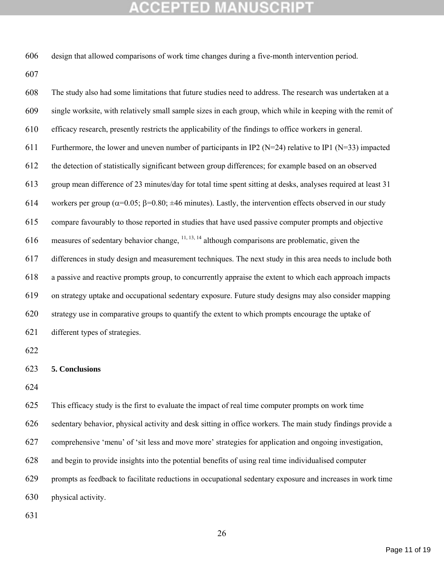design that allowed comparisons of work time changes during a five-month intervention period.

 The study also had some limitations that future studies need to address. The research was undertaken at a single worksite, with relatively small sample sizes in each group, which while in keeping with the remit of efficacy research, presently restricts the applicability of the findings to office workers in general. 611 Furthermore, the lower and uneven number of participants in IP2 ( $N=24$ ) relative to IP1 ( $N=33$ ) impacted the detection of statistically significant between group differences; for example based on an observed group mean difference of 23 minutes/day for total time spent sitting at desks, analyses required at least 31 614 workers per group ( $\alpha$ =0.05;  $\beta$ =0.80;  $\pm$ 46 minutes). Lastly, the intervention effects observed in our study compare favourably to those reported in studies that have used passive computer prompts and objective 616 measures of sedentary behavior change,  $\frac{11, 13, 14}{2}$  although comparisons are problematic, given the differences in study design and measurement techniques. The next study in this area needs to include both a passive and reactive prompts group, to concurrently appraise the extent to which each approach impacts on strategy uptake and occupational sedentary exposure. Future study designs may also consider mapping strategy use in comparative groups to quantify the extent to which prompts encourage the uptake of different types of strategies. 

### **5. Conclusions**

 This efficacy study is the first to evaluate the impact of real time computer prompts on work time sedentary behavior, physical activity and desk sitting in office workers. The main study findings provide a comprehensive 'menu' of 'sit less and move more' strategies for application and ongoing investigation, and begin to provide insights into the potential benefits of using real time individualised computer prompts as feedback to facilitate reductions in occupational sedentary exposure and increases in work time physical activity.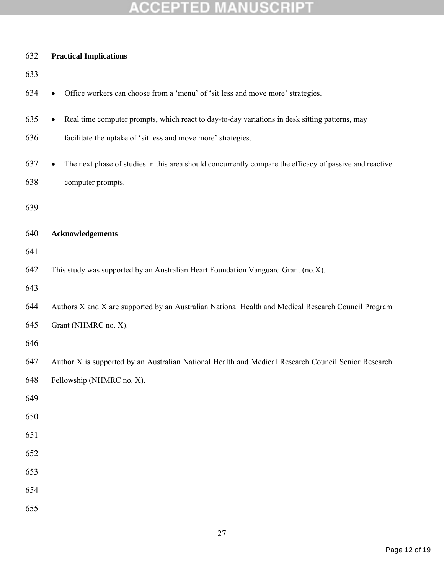| 632 | <b>Practical Implications</b>                                                                               |
|-----|-------------------------------------------------------------------------------------------------------------|
| 633 |                                                                                                             |
| 634 | Office workers can choose from a 'menu' of 'sit less and move more' strategies.                             |
| 635 | Real time computer prompts, which react to day-to-day variations in desk sitting patterns, may<br>$\bullet$ |
| 636 | facilitate the uptake of 'sit less and move more' strategies.                                               |
| 637 | The next phase of studies in this area should concurrently compare the efficacy of passive and reactive     |
| 638 | computer prompts.                                                                                           |
| 639 |                                                                                                             |
| 640 | <b>Acknowledgements</b>                                                                                     |
| 641 |                                                                                                             |
| 642 | This study was supported by an Australian Heart Foundation Vanguard Grant (no.X).                           |
| 643 |                                                                                                             |
| 644 | Authors X and X are supported by an Australian National Health and Medical Research Council Program         |
| 645 | Grant (NHMRC no. X).                                                                                        |
| 646 |                                                                                                             |
| 647 | Author X is supported by an Australian National Health and Medical Research Council Senior Research         |
| 648 | Fellowship (NHMRC no. X).                                                                                   |
| 649 |                                                                                                             |
| 650 |                                                                                                             |
| 651 |                                                                                                             |
| 652 |                                                                                                             |
| 653 |                                                                                                             |
| 654 |                                                                                                             |
| 655 |                                                                                                             |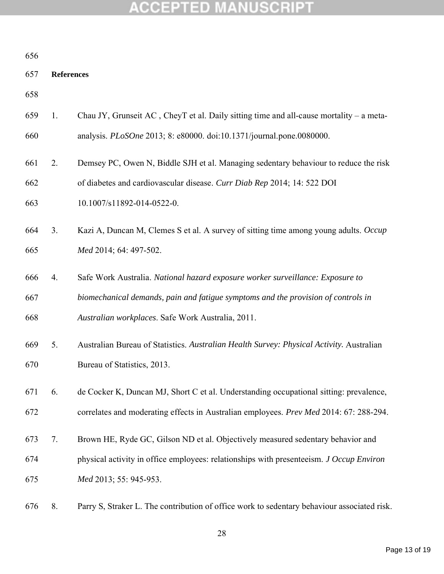| 656 |                   |                                                                                             |
|-----|-------------------|---------------------------------------------------------------------------------------------|
| 657 | <b>References</b> |                                                                                             |
| 658 |                   |                                                                                             |
| 659 | 1.                | Chau JY, Grunseit AC, CheyT et al. Daily sitting time and all-cause mortality – a meta-     |
| 660 |                   | analysis. PLoSOne 2013; 8: e80000. doi:10.1371/journal.pone.0080000.                        |
| 661 | 2.                | Demsey PC, Owen N, Biddle SJH et al. Managing sedentary behaviour to reduce the risk        |
| 662 |                   | of diabetes and cardiovascular disease. Curr Diab Rep 2014; 14: 522 DOI                     |
| 663 |                   | 10.1007/s11892-014-0522-0.                                                                  |
| 664 | 3.                | Kazi A, Duncan M, Clemes S et al. A survey of sitting time among young adults. Occup        |
| 665 |                   | Med 2014; 64: 497-502.                                                                      |
| 666 | 4.                | Safe Work Australia. National hazard exposure worker surveillance: Exposure to              |
| 667 |                   | biomechanical demands, pain and fatigue symptoms and the provision of controls in           |
| 668 |                   | Australian workplaces. Safe Work Australia, 2011.                                           |
| 669 | 5.                | Australian Bureau of Statistics. Australian Health Survey: Physical Activity. Australian    |
| 670 |                   | Bureau of Statistics, 2013.                                                                 |
| 671 | 6.                | de Cocker K, Duncan MJ, Short C et al. Understanding occupational sitting: prevalence,      |
| 672 |                   | correlates and moderating effects in Australian employees. Prev Med 2014: 67: 288-294.      |
| 673 | 7.                | Brown HE, Ryde GC, Gilson ND et al. Objectively measured sedentary behavior and             |
| 674 |                   | physical activity in office employees: relationships with presenteeism. J Occup Environ     |
| 675 |                   | Med 2013; 55: 945-953.                                                                      |
| 676 | 8.                | Parry S, Straker L. The contribution of office work to sedentary behaviour associated risk. |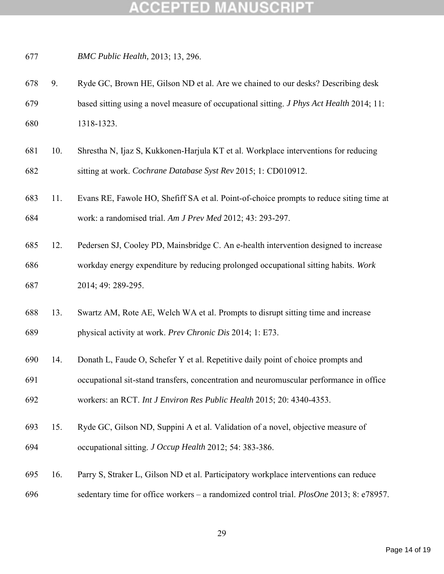*BMC Public Health,* 2013; 13, 296.

- 9. Ryde GC, Brown HE, Gilson ND et al. Are we chained to our desks? Describing desk based sitting using a novel measure of occupational sitting. *J Phys Act Health* 2014; 11: 1318-1323.
- 10. Shrestha N, Ijaz S, Kukkonen-Harjula KT et al. Workplace interventions for reducing sitting at work. *Cochrane Database Syst Rev* 2015; 1: CD010912.
- 11. Evans RE, Fawole HO, Shefiff SA et al. Point-of-choice prompts to reduce siting time at work: a randomised trial. *Am J Prev Med* 2012; 43: 293-297.
- 12. Pedersen SJ, Cooley PD, Mainsbridge C. An e-health intervention designed to increase workday energy expenditure by reducing prolonged occupational sitting habits. *Work* 2014; 49: 289-295.
- 13. Swartz AM, Rote AE, Welch WA et al. Prompts to disrupt sitting time and increase physical activity at work. *Prev Chronic Dis* 2014; 1: E73.
- 14. Donath L, Faude O, Schefer Y et al. Repetitive daily point of choice prompts and

 occupational sit-stand transfers, concentration and neuromuscular performance in office workers: an RCT. *Int J Environ Res Public Health* 2015; 20: 4340-4353.

- 15. Ryde GC, Gilson ND, Suppini A et al. Validation of a novel, objective measure of occupational sitting. *J Occup Health* 2012; 54: 383-386.
- 16. Parry S, Straker L, Gilson ND et al. Participatory workplace interventions can reduce sedentary time for office workers – a randomized control trial. *PlosOne* 2013; 8: e78957.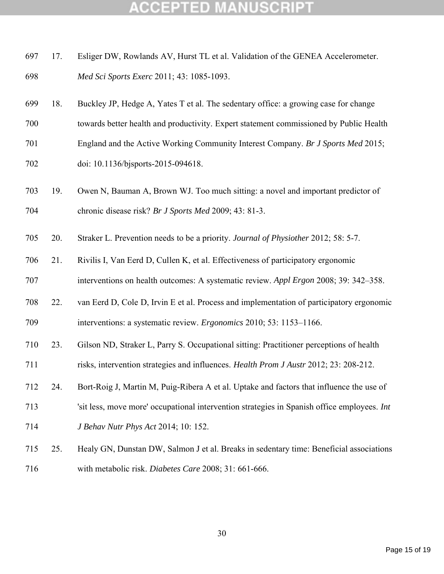### COEPTED

|     | 697 17. | Esliger DW, Rowlands AV, Hurst TL et al. Validation of the GENEA Accelerometer. |
|-----|---------|---------------------------------------------------------------------------------|
| 698 |         | <i>Med Sci Sports Exerc 2011; 43: 1085-1093.</i>                                |

- 18. Buckley JP, Hedge A, Yates T et al. The sedentary office: a growing case for change
- towards better health and productivity. Expert statement commissioned by Public Health
- England and the Active Working Community Interest Company. *Br J Sports Med* 2015;
- doi: 10.1136/bjsports-2015-094618.
- 19. Owen N, Bauman A, Brown WJ. Too much sitting: a novel and important predictor of chronic disease risk? *Br J Sports Med* 2009; 43: 81-3.
- 20. Straker L. Prevention needs to be a priority. *Journal of Physiother* 2012; 58: 5-7.
- 21. Rivilis I, Van Eerd D, Cullen K, et al. Effectiveness of participatory ergonomic
- interventions on health outcomes: A systematic review. *Appl Ergon* 2008; 39: 342–358.
- 22. van Eerd D, Cole D, Irvin E et al. Process and implementation of participatory ergonomic interventions: a systematic review. *Ergonomics* 2010; 53: 1153–1166.
- 23. Gilson ND, Straker L, Parry S. Occupational sitting: Practitioner perceptions of health
- risks, intervention strategies and influences. *Health Prom J Austr* 2012; 23: 208-212.
- 24. Bort-Roig J, Martin M, Puig-Ribera A et al. Uptake and factors that influence the use of
- 'sit less, move more' occupational intervention strategies in Spanish office employees. *Int*
- *J Behav Nutr Phys Act* 2014; 10: 152.
- 25. Healy GN, Dunstan DW, Salmon J et al. Breaks in sedentary time: Beneficial associations with metabolic risk. *Diabetes Care* 2008; 31: 661-666.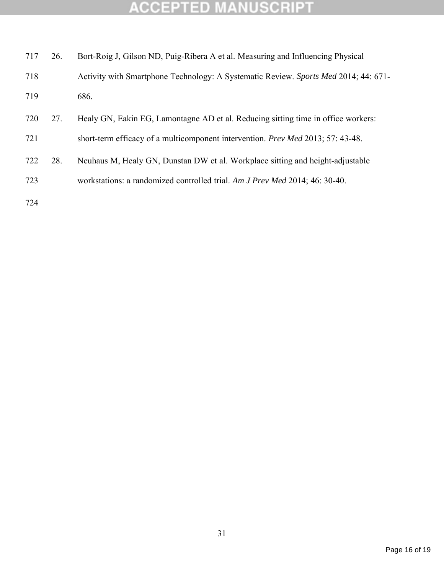| 717 | 26. | Bort-Roig J, Gilson ND, Puig-Ribera A et al. Measuring and Influencing Physical     |
|-----|-----|-------------------------------------------------------------------------------------|
| 718 |     | Activity with Smartphone Technology: A Systematic Review. Sports Med 2014; 44: 671- |
| 719 |     | 686.                                                                                |
| 720 | 27. | Healy GN, Eakin EG, Lamontagne AD et al. Reducing sitting time in office workers:   |
| 721 |     | short-term efficacy of a multicomponent intervention. Prev Med 2013; 57: 43-48.     |
| 722 | 28. | Neuhaus M, Healy GN, Dunstan DW et al. Workplace sitting and height-adjustable      |
| 723 |     | workstations: a randomized controlled trial. Am J Prev Med 2014; 46: 30-40.         |
| 724 |     |                                                                                     |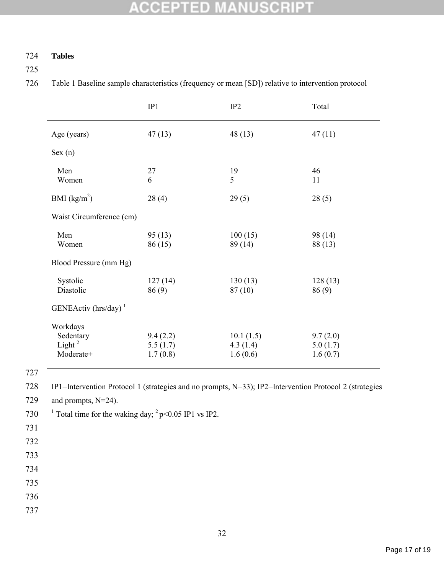### 724 **Tables**

725

726 Table 1 Baseline sample characteristics (frequency or mean [SD]) relative to intervention protocol

|                                                          | IP1                              | IP <sub>2</sub>                   | Total                            |
|----------------------------------------------------------|----------------------------------|-----------------------------------|----------------------------------|
| Age (years)                                              | 47(13)                           | 48(13)                            | 47(11)                           |
| Sex (n)                                                  |                                  |                                   |                                  |
| Men<br>Women                                             | 27<br>6                          | 19<br>5                           | 46<br>11                         |
| BMI $(kg/m^2)$                                           | 28(4)                            | 29(5)                             | 28(5)                            |
| Waist Circumference (cm)                                 |                                  |                                   |                                  |
| Men<br>Women                                             | 95(13)<br>86 (15)                | 100(15)<br>89 (14)                | 98 (14)<br>88 (13)               |
| Blood Pressure (mm Hg)                                   |                                  |                                   |                                  |
| Systolic<br>Diastolic                                    | 127(14)<br>86(9)                 | 130(13)<br>87(10)                 | 128(13)<br>86(9)                 |
| GENEActiv (hrs/day) $1$                                  |                                  |                                   |                                  |
| Workdays<br>Sedentary<br>Light <sup>2</sup><br>Moderate+ | 9.4(2.2)<br>5.5(1.7)<br>1.7(0.8) | 10.1(1.5)<br>4.3(1.4)<br>1.6(0.6) | 9.7(2.0)<br>5.0(1.7)<br>1.6(0.7) |

727

728 IP1=Intervention Protocol 1 (strategies and no prompts, N=33); IP2=Intervention Protocol 2 (strategies

729 and prompts, N=24).

730 <sup>1</sup> Total time for the waking day;  $^{2}$  p<0.05 IP1 vs IP2.

- 731
- 732
- 733

734

735

736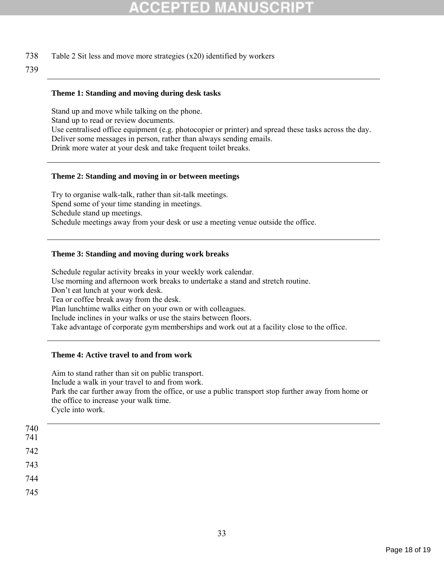738 Table 2 Sit less and move more strategies (x20) identified by workers

#### 739

#### **Theme 1: Standing and moving during desk tasks**

Stand up and move while talking on the phone. Stand up to read or review documents. Use centralised office equipment (e.g. photocopier or printer) and spread these tasks across the day. Deliver some messages in person, rather than always sending emails. Drink more water at your desk and take frequent toilet breaks.

#### **Theme 2: Standing and moving in or between meetings**

Try to organise walk-talk, rather than sit-talk meetings. Spend some of your time standing in meetings. Schedule stand up meetings. Schedule meetings away from your desk or use a meeting venue outside the office.

#### **Theme 3: Standing and moving during work breaks**

Schedule regular activity breaks in your weekly work calendar. Use morning and afternoon work breaks to undertake a stand and stretch routine. Don't eat lunch at your work desk. Tea or coffee break away from the desk. Plan lunchtime walks either on your own or with colleagues. Include inclines in your walks or use the stairs between floors. Take advantage of corporate gym memberships and work out at a facility close to the office.

#### **Theme 4: Active travel to and from work**

Aim to stand rather than sit on public transport. Include a walk in your travel to and from work. Park the car further away from the office, or use a public transport stop further away from home or the office to increase your walk time. Cycle into work.

| $\begin{array}{c} 740 \\ 741 \end{array}$ |  |  |
|-------------------------------------------|--|--|
| 742                                       |  |  |
|                                           |  |  |
|                                           |  |  |
| 743<br>744                                |  |  |
| 745                                       |  |  |